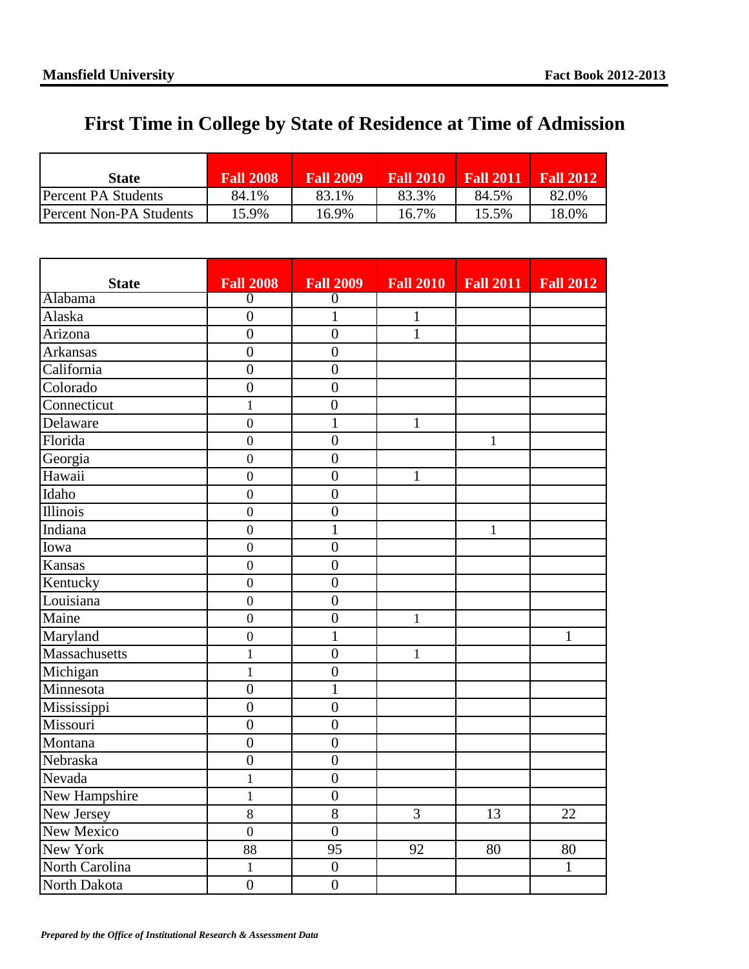## **First Time in College by State of Residence at Time of Admission**

| State                   | <b>Fall 2008</b> | <b>Fall 2009</b> | <b>Fall 2010</b> | <b>Fall 2011</b> | <b>Fall 2012</b> |
|-------------------------|------------------|------------------|------------------|------------------|------------------|
| IPercent PA Students    | 84.1%            | 83.1%            | 83.3%            | 84.5%            | 82.0%            |
| Percent Non-PA Students | 15.9%            | 16.9%            | 16.7%            | 15.5%            | 18.0%            |

| <b>State</b>    | <b>Fall 2008</b> | <b>Fall 2009</b> | <b>Fall 2010</b> | <b>Fall 2011</b> | <b>Fall 2012</b> |
|-----------------|------------------|------------------|------------------|------------------|------------------|
| Alabama         | $\overline{0}$   | $\overline{0}$   |                  |                  |                  |
| Alaska          | $\overline{0}$   | $\overline{1}$   | $\mathbf{1}$     |                  |                  |
| Arizona         | $\overline{0}$   | $\boldsymbol{0}$ | $\mathbf{1}$     |                  |                  |
| <b>Arkansas</b> | $\overline{0}$   | $\overline{0}$   |                  |                  |                  |
| California      | $\overline{0}$   | $\overline{0}$   |                  |                  |                  |
| Colorado        | $\overline{0}$   | $\boldsymbol{0}$ |                  |                  |                  |
| Connecticut     | $\mathbf{1}$     | $\overline{0}$   |                  |                  |                  |
| Delaware        | $\overline{0}$   | $\mathbf{1}$     | $\mathbf{1}$     |                  |                  |
| Florida         | $\boldsymbol{0}$ | $\overline{0}$   |                  | $\mathbf{1}$     |                  |
| Georgia         | $\overline{0}$   | $\overline{0}$   |                  |                  |                  |
| Hawaii          | $\overline{0}$   | $\overline{0}$   | $\mathbf{1}$     |                  |                  |
| Idaho           | $\boldsymbol{0}$ | $\overline{0}$   |                  |                  |                  |
| Illinois        | $\overline{0}$   | $\overline{0}$   |                  |                  |                  |
| Indiana         | $\overline{0}$   | $\mathbf{1}$     |                  | $\mathbf{1}$     |                  |
| Iowa            | $\boldsymbol{0}$ | $\boldsymbol{0}$ |                  |                  |                  |
| Kansas          | $\overline{0}$   | $\overline{0}$   |                  |                  |                  |
| Kentucky        | $\overline{0}$   | $\boldsymbol{0}$ |                  |                  |                  |
| Louisiana       | $\overline{0}$   | $\overline{0}$   |                  |                  |                  |
| Maine           | $\overline{0}$   | $\overline{0}$   | $\mathbf{1}$     |                  |                  |
| Maryland        | $\overline{0}$   | $\mathbf{1}$     |                  |                  | $\mathbf{1}$     |
| Massachusetts   | $\mathbf{1}$     | $\overline{0}$   | $\mathbf{1}$     |                  |                  |
| Michigan        | $\mathbf{1}$     | $\overline{0}$   |                  |                  |                  |
| Minnesota       | $\overline{0}$   | $\overline{1}$   |                  |                  |                  |
| Mississippi     | $\overline{0}$   | $\overline{0}$   |                  |                  |                  |
| Missouri        | $\overline{0}$   | $\overline{0}$   |                  |                  |                  |
| Montana         | $\overline{0}$   | $\overline{0}$   |                  |                  |                  |
| Nebraska        | $\overline{0}$   | $\overline{0}$   |                  |                  |                  |
| Nevada          | $\mathbf{1}$     | $\boldsymbol{0}$ |                  |                  |                  |
| New Hampshire   | $\mathbf{1}$     | $\boldsymbol{0}$ |                  |                  |                  |
| New Jersey      | $8\,$            | 8                | 3                | 13               | 22               |
| New Mexico      | $\overline{0}$   | $\overline{0}$   |                  |                  |                  |
| New York        | 88               | 95               | 92               | 80               | 80               |
| North Carolina  | $\mathbf{1}$     | $\boldsymbol{0}$ |                  |                  | $\mathbf{1}$     |
| North Dakota    | $\overline{0}$   | $\overline{0}$   |                  |                  |                  |